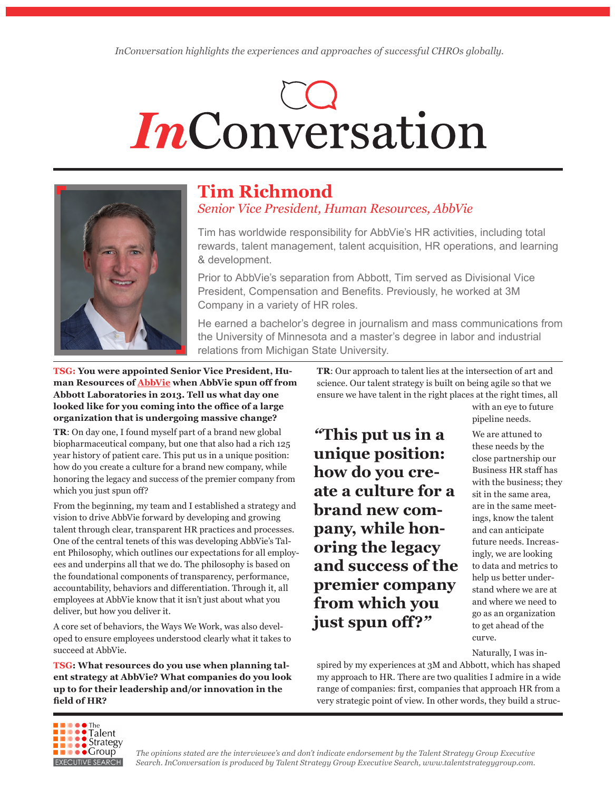# InConversation



# **Tim Richmond** *Senior Vice President, Human Resources, AbbVie*

Tim has worldwide responsibility for AbbVie's HR activities, including total rewards, talent management, talent acquisition, HR operations, and learning & development.

Prior to AbbVie's separation from Abbott, Tim served as Divisional Vice President, Compensation and Benefits. Previously, he worked at 3M Company in a variety of HR roles.

He earned a bachelor's degree in journalism and mass communications from the University of Minnesota and a master's degree in labor and industrial relations from Michigan State University.

**TSG: You were appointed Senior Vice President, Human Resources of [AbbVie](http://www.AbbVie.com) when AbbVie spun off from Abbott Laboratories in 2013. Tell us what day one looked like for you coming into the office of a large organization that is undergoing massive change?**

**TR**: On day one, I found myself part of a brand new global biopharmaceutical company, but one that also had a rich 125 year history of patient care. This put us in a unique position: how do you create a culture for a brand new company, while honoring the legacy and success of the premier company from which you just spun off?

From the beginning, my team and I established a strategy and vision to drive AbbVie forward by developing and growing talent through clear, transparent HR practices and processes. One of the central tenets of this was developing AbbVie's Talent Philosophy, which outlines our expectations for all employees and underpins all that we do. The philosophy is based on the foundational components of transparency, performance, accountability, behaviors and differentiation. Through it, all employees at AbbVie know that it isn't just about what you deliver, but how you deliver it.

A core set of behaviors, the Ways We Work, was also developed to ensure employees understood clearly what it takes to succeed at AbbVie.

**TSG: What resources do you use when planning talent strategy at AbbVie? What companies do you look up to for their leadership and/or innovation in the field of HR?**

**TR**: Our approach to talent lies at the intersection of art and science. Our talent strategy is built on being agile so that we ensure we have talent in the right places at the right times, all

*"***This put us in a unique position: how do you create a culture for a brand new company, while honoring the legacy and success of the premier company from which you just spun off?***"*

with an eye to future pipeline needs.

We are attuned to these needs by the close partnership our Business HR staff has with the business; they sit in the same area, are in the same meetings, know the talent and can anticipate future needs. Increasingly, we are looking to data and metrics to help us better understand where we are at and where we need to go as an organization to get ahead of the curve.

Naturally, I was in-

spired by my experiences at 3M and Abbott, which has shaped my approach to HR. There are two qualities I admire in a wide range of companies: first, companies that approach HR from a very strategic point of view. In other words, they build a struc-